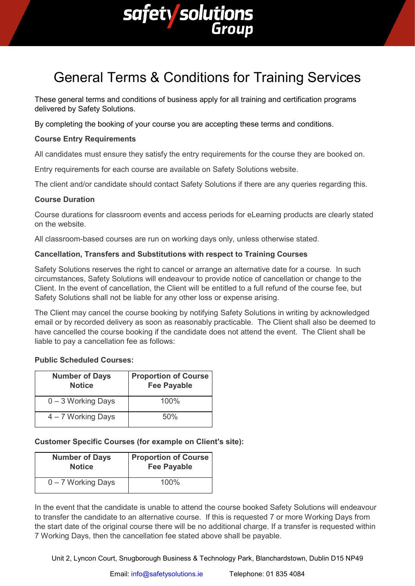

# General Terms & Conditions for Training Services

These general terms and conditions of business apply for all training and certification programs delivered by Safety Solutions.

By completing the booking of your course you are accepting these terms and conditions.

# **Course Entry Requirements**

All candidates must ensure they satisfy the entry requirements for the course they are booked on.

Entry requirements for each course are available on Safety Solutions website.

The client and/or candidate should contact Safety Solutions if there are any queries regarding this.

### **Course Duration**

Course durations for classroom events and access periods for eLearning products are clearly stated on the website.

All classroom-based courses are run on working days only, unless otherwise stated.

### **Cancellation, Transfers and Substitutions with respect to Training Courses**

Safety Solutions reserves the right to cancel or arrange an alternative date for a course. In such circumstances, Safety Solutions will endeavour to provide notice of cancellation or change to the Client. In the event of cancellation, the Client will be entitled to a full refund of the course fee, but Safety Solutions shall not be liable for any other loss or expense arising.

The Client may cancel the course booking by notifying Safety Solutions in writing by acknowledged email or by recorded delivery as soon as reasonably practicable. The Client shall also be deemed to have cancelled the course booking if the candidate does not attend the event. The Client shall be liable to pay a cancellation fee as follows:

## **Public Scheduled Courses:**

| <b>Number of Days</b><br><b>Notice</b> | <b>Proportion of Course</b><br><b>Fee Payable</b> |
|----------------------------------------|---------------------------------------------------|
| 0 - 3 Working Days                     | 100%                                              |
| 4 – 7 Working Days                     | 50%                                               |

# **Customer Specific Courses (for example on Client's site):**

| <b>Number of Days</b> | <b>Proportion of Course</b> |
|-----------------------|-----------------------------|
| <b>Notice</b>         | <b>Fee Payable</b>          |
| $0 - 7$ Working Days  | $100\%$                     |

In the event that the candidate is unable to attend the course booked Safety Solutions will endeavour to transfer the candidate to an alternative course. If this is requested 7 or more Working Days from the start date of the original course there will be no additional charge. If a transfer is requested within 7 Working Days, then the cancellation fee stated above shall be payable.

Unit 2, Lyncon Court, Snugborough Business & Technology Park, Blanchardstown, Dublin D15 NP49